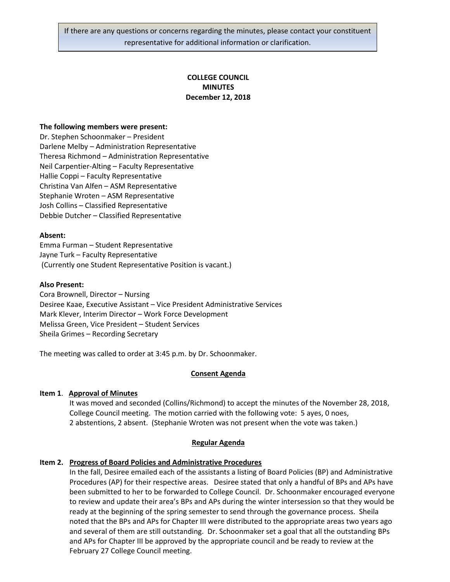If there are any questions or concerns regarding the minutes, please contact your constituent representative for additional information or clarification.

# **COLLEGE COUNCIL MINUTES December 12, 2018**

### **The following members were present:**

Dr. Stephen Schoonmaker – President Darlene Melby – Administration Representative Theresa Richmond – Administration Representative Neil Carpentier-Alting – Faculty Representative Hallie Coppi – Faculty Representative Christina Van Alfen – ASM Representative Stephanie Wroten – ASM Representative Josh Collins – Classified Representative Debbie Dutcher – Classified Representative

### **Absent:**

Emma Furman – Student Representative Jayne Turk – Faculty Representative (Currently one Student Representative Position is vacant.)

#### **Also Present:**

Cora Brownell, Director – Nursing Desiree Kaae, Executive Assistant – Vice President Administrative Services Mark Klever, Interim Director – Work Force Development Melissa Green, Vice President – Student Services Sheila Grimes – Recording Secretary

The meeting was called to order at 3:45 p.m. by Dr. Schoonmaker.

### **Consent Agenda**

### **Item 1**. **Approval of Minutes**

It was moved and seconded (Collins/Richmond) to accept the minutes of the November 28, 2018, College Council meeting. The motion carried with the following vote: 5 ayes, 0 noes, 2 abstentions, 2 absent. (Stephanie Wroten was not present when the vote was taken.)

### **Regular Agenda**

### **Item 2. Progress of Board Policies and Administrative Procedures**

In the fall, Desiree emailed each of the assistants a listing of Board Policies (BP) and Administrative Procedures (AP) for their respective areas. Desiree stated that only a handful of BPs and APs have been submitted to her to be forwarded to College Council. Dr. Schoonmaker encouraged everyone to review and update their area's BPs and APs during the winter intersession so that they would be ready at the beginning of the spring semester to send through the governance process. Sheila noted that the BPs and APs for Chapter III were distributed to the appropriate areas two years ago and several of them are still outstanding. Dr. Schoonmaker set a goal that all the outstanding BPs and APs for Chapter III be approved by the appropriate council and be ready to review at the February 27 College Council meeting.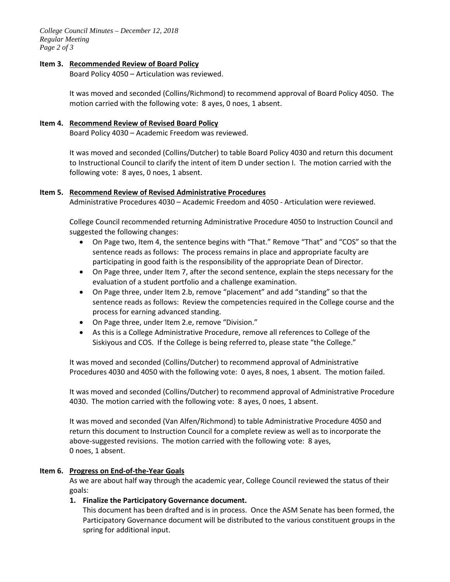*College Council Minutes – December 12, 2018 Regular Meeting Page 2 of 3*

### **Item 3. Recommended Review of Board Policy**

Board Policy 4050 – Articulation was reviewed.

It was moved and seconded (Collins/Richmond) to recommend approval of Board Policy 4050. The motion carried with the following vote: 8 ayes, 0 noes, 1 absent.

### **Item 4. Recommend Review of Revised Board Policy**

Board Policy 4030 – Academic Freedom was reviewed.

It was moved and seconded (Collins/Dutcher) to table Board Policy 4030 and return this document to Instructional Council to clarify the intent of item D under section I. The motion carried with the following vote: 8 ayes, 0 noes, 1 absent.

### **Item 5. Recommend Review of Revised Administrative Procedures**

Administrative Procedures 4030 – Academic Freedom and 4050 - Articulation were reviewed.

College Council recommended returning Administrative Procedure 4050 to Instruction Council and suggested the following changes:

- On Page two, Item 4, the sentence begins with "That." Remove "That" and "COS" so that the sentence reads as follows: The process remains in place and appropriate faculty are participating in good faith is the responsibility of the appropriate Dean of Director.
- On Page three, under Item 7, after the second sentence, explain the steps necessary for the evaluation of a student portfolio and a challenge examination.
- On Page three, under Item 2.b, remove "placement" and add "standing" so that the sentence reads as follows: Review the competencies required in the College course and the process for earning advanced standing.
- On Page three, under Item 2.e, remove "Division."
- As this is a College Administrative Procedure, remove all references to College of the Siskiyous and COS. If the College is being referred to, please state "the College."

It was moved and seconded (Collins/Dutcher) to recommend approval of Administrative Procedures 4030 and 4050 with the following vote: 0 ayes, 8 noes, 1 absent. The motion failed.

It was moved and seconded (Collins/Dutcher) to recommend approval of Administrative Procedure 4030. The motion carried with the following vote: 8 ayes, 0 noes, 1 absent.

It was moved and seconded (Van Alfen/Richmond) to table Administrative Procedure 4050 and return this document to Instruction Council for a complete review as well as to incorporate the above-suggested revisions. The motion carried with the following vote: 8 ayes, 0 noes, 1 absent.

# **Item 6. Progress on End-of-the-Year Goals**

As we are about half way through the academic year, College Council reviewed the status of their goals:

# **1. Finalize the Participatory Governance document.**

This document has been drafted and is in process. Once the ASM Senate has been formed, the Participatory Governance document will be distributed to the various constituent groups in the spring for additional input.